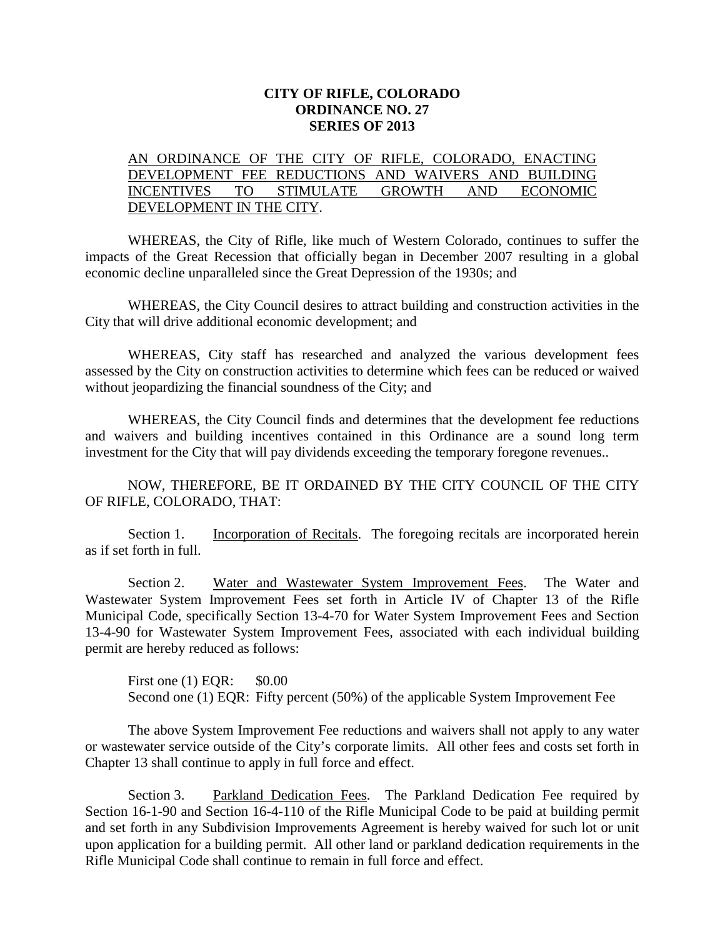## **CITY OF RIFLE, COLORADO ORDINANCE NO. 27 SERIES OF 2013**

## AN ORDINANCE OF THE CITY OF RIFLE, COLORADO, ENACTING DEVELOPMENT FEE REDUCTIONS AND WAIVERS AND BUILDING INCENTIVES TO STIMULATE GROWTH AND ECONOMIC DEVELOPMENT IN THE CITY.

WHEREAS, the City of Rifle, like much of Western Colorado, continues to suffer the impacts of the Great Recession that officially began in December 2007 resulting in a global economic decline unparalleled since the Great Depression of the 1930s; and

WHEREAS, the City Council desires to attract building and construction activities in the City that will drive additional economic development; and

WHEREAS, City staff has researched and analyzed the various development fees assessed by the City on construction activities to determine which fees can be reduced or waived without jeopardizing the financial soundness of the City; and

WHEREAS, the City Council finds and determines that the development fee reductions and waivers and building incentives contained in this Ordinance are a sound long term investment for the City that will pay dividends exceeding the temporary foregone revenues..

NOW, THEREFORE, BE IT ORDAINED BY THE CITY COUNCIL OF THE CITY OF RIFLE, COLORADO, THAT:

Section 1. Incorporation of Recitals. The foregoing recitals are incorporated herein as if set forth in full.

Section 2. Water and Wastewater System Improvement Fees. The Water and Wastewater System Improvement Fees set forth in Article IV of Chapter 13 of the Rifle Municipal Code, specifically Section 13-4-70 for Water System Improvement Fees and Section 13-4-90 for Wastewater System Improvement Fees, associated with each individual building permit are hereby reduced as follows:

First one (1) EQR: \$0.00 Second one (1) EQR: Fifty percent (50%) of the applicable System Improvement Fee

The above System Improvement Fee reductions and waivers shall not apply to any water or wastewater service outside of the City's corporate limits. All other fees and costs set forth in Chapter 13 shall continue to apply in full force and effect.

Section 3. Parkland Dedication Fees. The Parkland Dedication Fee required by Section 16-1-90 and Section 16-4-110 of the Rifle Municipal Code to be paid at building permit and set forth in any Subdivision Improvements Agreement is hereby waived for such lot or unit upon application for a building permit. All other land or parkland dedication requirements in the Rifle Municipal Code shall continue to remain in full force and effect.